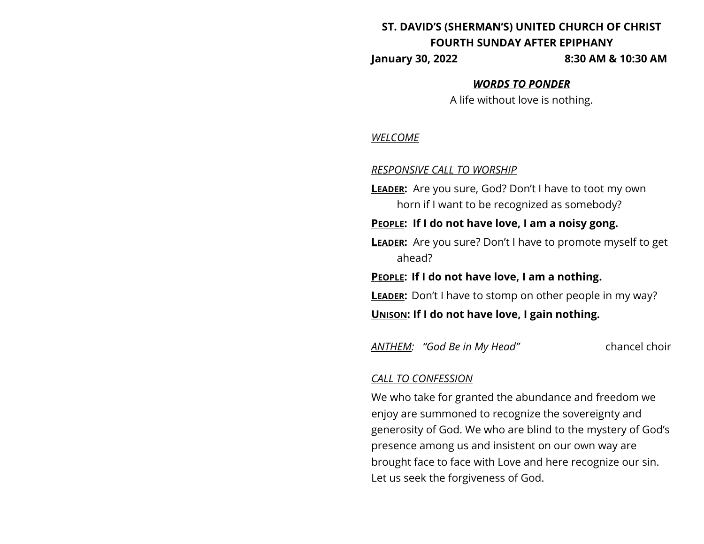# **ST. DAVID'S (SHERMAN'S) UNITED CHURCH OF CHRIST FOURTH SUNDAY AFTER EPIPHANY**

**January 30, 2022 8:30 AM & 10:30 AM**

#### *WORDS TO PONDER*

A life without love is nothing.

#### *WELCOME*

#### *RESPONSIVE CALL TO WORSHIP*

**LEADER:** Are you sure, God? Don't I have to toot my own horn if I want to be recognized as somebody?

**PEOPLE: If I do not have love, I am a noisy gong.**

**LEADER:** Are you sure? Don't I have to promote myself to get ahead?

**PEOPLE: If I do not have love, I am a nothing.**

**LEADER:** Don't I have to stomp on other people in my way?

**UNISON: If I do not have love, I gain nothing.**

*ANTHEM: "God Be in My Head"* chancel choir

#### *CALL TO CONFESSION*

We who take for granted the abundance and freedom we enjoy are summoned to recognize the sovereignty and generosity of God. We who are blind to the mystery of God's presence among us and insistent on our own way are brought face to face with Love and here recognize our sin. Let us seek the forgiveness of God.